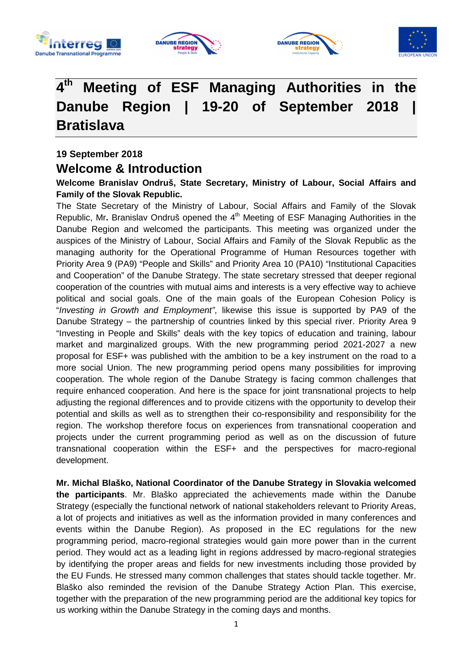







### $4^{\overline{\text{th}}}$ **th Meeting of ESF Managing Authorities in the**  Danube Region | 19-20 of September 2018 **Bratislava**

**19 September 2018 Welcome & Introduction** 

**Welcome Branislav Ondruš, State Secretary, Ministry of Labour, Social Affairs and Family of the Slovak Republic.** 

The State Secretary of the Ministry of Labour, Social Affairs and Family of the Slovak Republic, Mr. Branislav Ondruš opened the 4<sup>th</sup> Meeting of ESF Managing Authorities in the Danube Region and welcomed the participants. This meeting was organized under the auspices of the Ministry of Labour, Social Affairs and Family of the Slovak Republic as the managing authority for the Operational Programme of Human Resources together with Priority Area 9 (PA9) "People and Skills" and Priority Area 10 (PA10) "Institutional Capacities and Cooperation" of the Danube Strategy. The state secretary stressed that deeper regional cooperation of the countries with mutual aims and interests is a very effective way to achieve political and social goals. One of the main goals of the European Cohesion Policy is "Investing in Growth and Employment", likewise this issue is supported by PA9 of the Danube Strategy – the partnership of countries linked by this special river. Priority Area 9 "Investing in People and Skills" deals with the key topics of education and training, labour market and marginalized groups. With the new programming period 2021-2027 a new proposal for ESF+ was published with the ambition to be a key instrument on the road to a more social Union. The new programming period opens many possibilities for improving cooperation. The whole region of the Danube Strategy is facing common challenges that require enhanced cooperation. And here is the space for joint transnational projects to help adjusting the regional differences and to provide citizens with the opportunity to develop their potential and skills as well as to strengthen their co-responsibility and responsibility for the region. The workshop therefore focus on experiences from transnational cooperation and projects under the current programming period as well as on the discussion of future transnational cooperation within the ESF+ and the perspectives for macro-regional development.

**Mr. Michal Blaško, National Coordinator of the Danube Strategy in Slovakia welcomed the participants**. Mr. Blaško appreciated the achievements made within the Danube Strategy (especially the functional network of national stakeholders relevant to Priority Areas, a lot of projects and initiatives as well as the information provided in many conferences and events within the Danube Region). As proposed in the EC regulations for the new programming period, macro-regional strategies would gain more power than in the current period. They would act as a leading light in regions addressed by macro-regional strategies by identifying the proper areas and fields for new investments including those provided by the EU Funds. He stressed many common challenges that states should tackle together. Mr. Blaško also reminded the revision of the Danube Strategy Action Plan. This exercise, together with the preparation of the new programming period are the additional key topics for us working within the Danube Strategy in the coming days and months.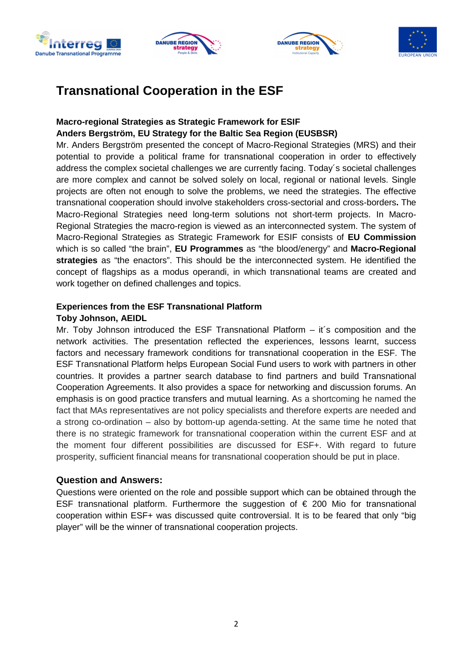







### **Transnational Cooperation in the ESF**

#### **Macro-regional Strategies as Strategic Framework for ESIF Anders Bergström, EU Strategy for the Baltic Sea Region (EUSBSR)**

Mr. Anders Bergström presented the concept of Macro-Regional Strategies (MRS) and their potential to provide a political frame for transnational cooperation in order to effectively address the complex societal challenges we are currently facing. Today´s societal challenges are more complex and cannot be solved solely on local, regional or national levels. Single projects are often not enough to solve the problems, we need the strategies. The effective transnational cooperation should involve stakeholders cross-sectorial and cross-borders**.** The Macro-Regional Strategies need long-term solutions not short-term projects. In Macro-Regional Strategies the macro-region is viewed as an interconnected system. The system of Macro-Regional Strategies as Strategic Framework for ESIF consists of **EU Commission** which is so called "the brain", **EU Programmes** as "the blood/energy" and **Macro-Regional strategies** as "the enactors". This should be the interconnected system. He identified the concept of flagships as a modus operandi, in which transnational teams are created and work together on defined challenges and topics.

### **Experiences from the ESF Transnational Platform**

#### **Toby Johnson, AEIDL**

Mr. Toby Johnson introduced the ESF Transnational Platform – it´s composition and the network activities. The presentation reflected the experiences, lessons learnt, success factors and necessary framework conditions for transnational cooperation in the ESF. The ESF Transnational Platform helps European Social Fund users to work with partners in other countries. It provides a partner search database to find partners and build Transnational Cooperation Agreements. It also provides a space for networking and discussion forums. An emphasis is on good practice transfers and mutual learning. As a shortcoming he named the fact that MAs representatives are not policy specialists and therefore experts are needed and a strong co-ordination – also by bottom-up agenda-setting. At the same time he noted that there is no strategic framework for transnational cooperation within the current ESF and at the moment four different possibilities are discussed for ESF+. With regard to future prosperity, sufficient financial means for transnational cooperation should be put in place.

### **Question and Answers:**

Questions were oriented on the role and possible support which can be obtained through the ESF transnational platform. Furthermore the suggestion of  $\epsilon$  200 Mio for transnational cooperation within ESF+ was discussed quite controversial. It is to be feared that only "big player" will be the winner of transnational cooperation projects.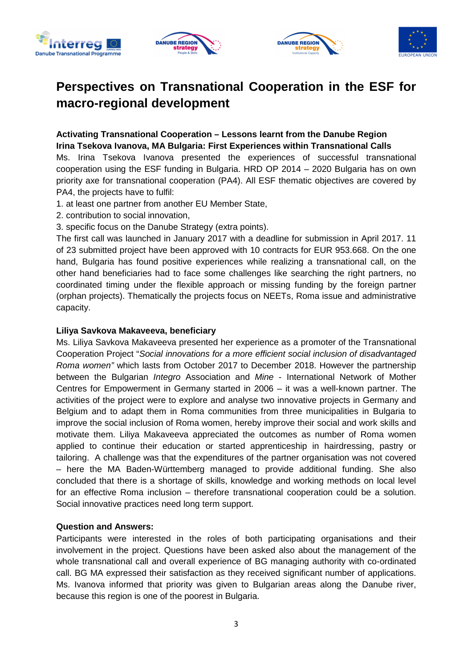







# **Perspectives on Transnational Cooperation in the ESF for macro-regional development**

### **Activating Transnational Cooperation – Lessons learnt from the Danube Region Irina Tsekova Ivanova, MA Bulgaria: First Experiences within Transnational Calls**

Ms. Irina Tsekova Ivanova presented the experiences of successful transnational cooperation using the ESF funding in Bulgaria. HRD OP 2014 – 2020 Bulgaria has on own priority axe for transnational cooperation (PA4). All ESF thematic objectives are covered by PA4, the projects have to fulfil:

- 1. at least one partner from another EU Member State,
- 2. contribution to social innovation,
- 3. specific focus on the Danube Strategy (extra points).

The first call was launched in January 2017 with a deadline for submission in April 2017. 11 of 23 submitted project have been approved with 10 contracts for EUR 953.668. On the one hand, Bulgaria has found positive experiences while realizing a transnational call, on the other hand beneficiaries had to face some challenges like searching the right partners, no coordinated timing under the flexible approach or missing funding by the foreign partner (orphan projects). Thematically the projects focus on NEETs, Roma issue and administrative capacity.

#### **Liliya Savkova Makaveeva, beneficiary**

Ms. Liliya Savkova Makaveeva presented her experience as a promoter of the Transnational Cooperation Project "Social innovations for a more efficient social inclusion of disadvantaged Roma women" which lasts from October 2017 to December 2018. However the partnership between the Bulgarian Integro Association and Mine - International Network of Mother Centres for Empowerment in Germany started in 2006 – it was a well-known partner. The activities of the project were to explore and analyse two innovative projects in Germany and Belgium and to adapt them in Roma communities from three municipalities in Bulgaria to improve the social inclusion of Roma women, hereby improve their social and work skills and motivate them. Liliya Makaveeva appreciated the outcomes as number of Roma women applied to continue their education or started apprenticeship in hairdressing, pastry or tailoring. A challenge was that the expenditures of the partner organisation was not covered – here the MA Baden-Württemberg managed to provide additional funding. She also concluded that there is a shortage of skills, knowledge and working methods on local level for an effective Roma inclusion – therefore transnational cooperation could be a solution. Social innovative practices need long term support.

#### **Question and Answers:**

Participants were interested in the roles of both participating organisations and their involvement in the project. Questions have been asked also about the management of the whole transnational call and overall experience of BG managing authority with co-ordinated call. BG MA expressed their satisfaction as they received significant number of applications. Ms. Ivanova informed that priority was given to Bulgarian areas along the Danube river, because this region is one of the poorest in Bulgaria.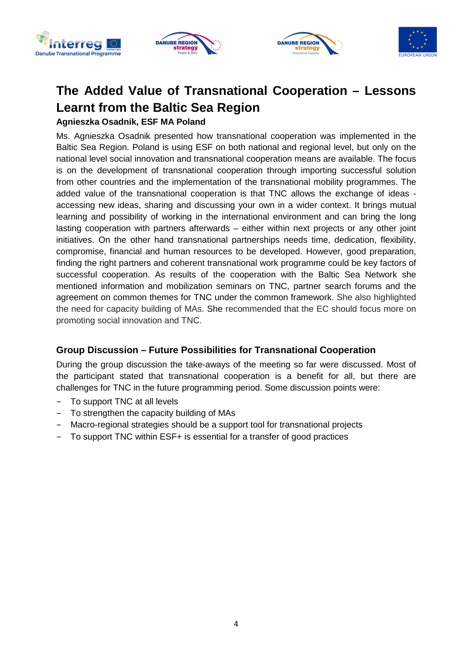







# **The Added Value of Transnational Cooperation – Lessons Learnt from the Baltic Sea Region**

### **Agnieszka Osadnik, ESF MA Poland**

Ms. Agnieszka Osadnik presented how transnational cooperation was implemented in the Baltic Sea Region. Poland is using ESF on both national and regional level, but only on the national level social innovation and transnational cooperation means are available. The focus is on the development of transnational cooperation through importing successful solution from other countries and the implementation of the transnational mobility programmes. The added value of the transnational cooperation is that TNC allows the exchange of ideas accessing new ideas, sharing and discussing your own in a wider context. It brings mutual learning and possibility of working in the international environment and can bring the long lasting cooperation with partners afterwards – either within next projects or any other joint initiatives. On the other hand transnational partnerships needs time, dedication, flexibility, compromise, financial and human resources to be developed. However, good preparation, finding the right partners and coherent transnational work programme could be key factors of successful cooperation. As results of the cooperation with the Baltic Sea Network she mentioned information and mobilization seminars on TNC, partner search forums and the agreement on common themes for TNC under the common framework. She also highlighted the need for capacity building of MAs. She recommended that the EC should focus more on promoting social innovation and TNC.

### **Group Discussion – Future Possibilities for Transnational Cooperation**

During the group discussion the take-aways of the meeting so far were discussed. Most of the participant stated that transnational cooperation is a benefit for all, but there are challenges for TNC in the future programming period. Some discussion points were:

- To support TNC at all levels
- To strengthen the capacity building of MAs
- Macro-regional strategies should be a support tool for transnational projects
- To support TNC within ESF+ is essential for a transfer of good practices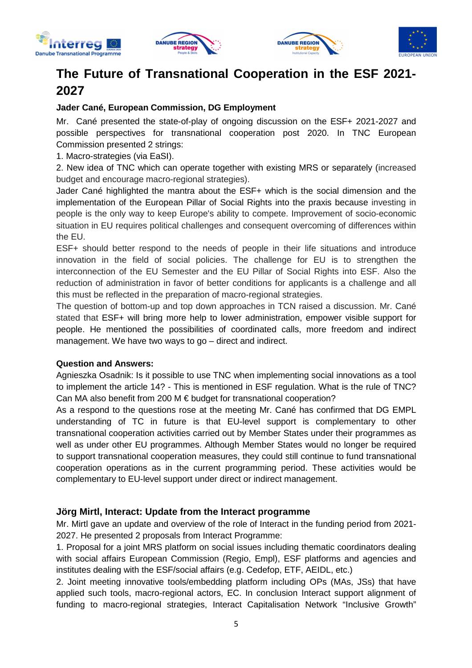







### **The Future of Transnational Cooperation in the ESF 2021- 2027**

### **Jader Cané, European Commission, DG Employment**

Mr. Cané presented the state-of-play of ongoing discussion on the ESF+ 2021-2027 and possible perspectives for transnational cooperation post 2020. In TNC European Commission presented 2 strings:

1. Macro-strategies (via EaSI).

2. New idea of TNC which can operate together with existing MRS or separately (increased budget and encourage macro-regional strategies).

Jader Cané highlighted the mantra about the ESF+ which is the social dimension and the implementation of the European Pillar of Social Rights into the praxis because investing in people is the only way to keep Europe's ability to compete. Improvement of socio-economic situation in EU requires political challenges and consequent overcoming of differences within the EU.

ESF+ should better respond to the needs of people in their life situations and introduce innovation in the field of social policies. The challenge for EU is to strengthen the interconnection of the EU Semester and the EU Pillar of Social Rights into ESF. Also the reduction of administration in favor of better conditions for applicants is a challenge and all this must be reflected in the preparation of macro-regional strategies.

The question of bottom-up and top down approaches in TCN raised a discussion. Mr. Cané stated that ESF+ will bring more help to lower administration, empower visible support for people. He mentioned the possibilities of coordinated calls, more freedom and indirect management. We have two ways to go – direct and indirect.

#### **Question and Answers:**

Agnieszka Osadnik: Is it possible to use TNC when implementing social innovations as a tool to implement the article 14? - This is mentioned in ESF regulation. What is the rule of TNC? Can MA also benefit from 200 M  $\epsilon$  budget for transnational cooperation?

As a respond to the questions rose at the meeting Mr. Cané has confirmed that DG EMPL understanding of TC in future is that EU-level support is complementary to other transnational cooperation activities carried out by Member States under their programmes as well as under other EU programmes. Although Member States would no longer be required to support transnational cooperation measures, they could still continue to fund transnational cooperation operations as in the current programming period. These activities would be complementary to EU-level support under direct or indirect management.

#### **Jörg Mirtl, Interact: Update from the Interact programme**

Mr. Mirtl gave an update and overview of the role of Interact in the funding period from 2021- 2027. He presented 2 proposals from Interact Programme:

1. Proposal for a joint MRS platform on social issues including thematic coordinators dealing with social affairs European Commission (Regio, Empl), ESF platforms and agencies and institutes dealing with the ESF/social affairs (e.g. Cedefop, ETF, AEIDL, etc.)

2. Joint meeting innovative tools/embedding platform including OPs (MAs, JSs) that have applied such tools, macro-regional actors, EC. In conclusion Interact support alignment of funding to macro-regional strategies, Interact Capitalisation Network "Inclusive Growth"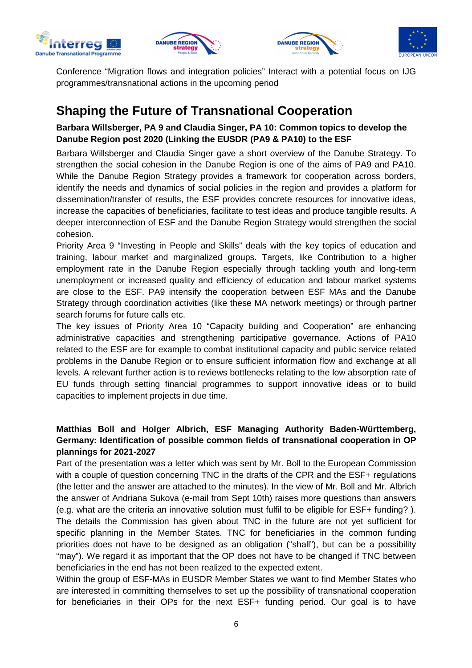







Conference "Migration flows and integration policies" Interact with a potential focus on IJG programmes/transnational actions in the upcoming period

### **Shaping the Future of Transnational Cooperation**

**Barbara Willsberger, PA 9 and Claudia Singer, PA 10: Common topics to develop the Danube Region post 2020 (Linking the EUSDR (PA9 & PA10) to the ESF** 

Barbara Willsberger and Claudia Singer gave a short overview of the Danube Strategy. To strengthen the social cohesion in the Danube Region is one of the aims of PA9 and PA10. While the Danube Region Strategy provides a framework for cooperation across borders, identify the needs and dynamics of social policies in the region and provides a platform for dissemination/transfer of results, the ESF provides concrete resources for innovative ideas, increase the capacities of beneficiaries, facilitate to test ideas and produce tangible results. A deeper interconnection of ESF and the Danube Region Strategy would strengthen the social cohesion.

Priority Area 9 "Investing in People and Skills" deals with the key topics of education and training, labour market and marginalized groups. Targets, like Contribution to a higher employment rate in the Danube Region especially through tackling youth and long-term unemployment or increased quality and efficiency of education and labour market systems are close to the ESF. PA9 intensify the cooperation between ESF MAs and the Danube Strategy through coordination activities (like these MA network meetings) or through partner search forums for future calls etc.

The key issues of Priority Area 10 "Capacity building and Cooperation" are enhancing administrative capacities and strengthening participative governance. Actions of PA10 related to the ESF are for example to combat institutional capacity and public service related problems in the Danube Region or to ensure sufficient information flow and exchange at all levels. A relevant further action is to reviews bottlenecks relating to the low absorption rate of EU funds through setting financial programmes to support innovative ideas or to build capacities to implement projects in due time.

### **Matthias Boll and Holger Albrich, ESF Managing Authority Baden-Württemberg, Germany: Identification of possible common fields of transnational cooperation in OP plannings for 2021-2027**

Part of the presentation was a letter which was sent by Mr. Boll to the European Commission with a couple of question concerning TNC in the drafts of the CPR and the ESF+ regulations (the letter and the answer are attached to the minutes). In the view of Mr. Boll and Mr. Albrich the answer of Andriana Sukova (e-mail from Sept 10th) raises more questions than answers (e.g. what are the criteria an innovative solution must fulfil to be eligible for ESF+ funding? ). The details the Commission has given about TNC in the future are not yet sufficient for specific planning in the Member States. TNC for beneficiaries in the common funding priorities does not have to be designed as an obligation ("shall"), but can be a possibility "may"). We regard it as important that the OP does not have to be changed if TNC between beneficiaries in the end has not been realized to the expected extent.

Within the group of ESF-MAs in EUSDR Member States we want to find Member States who are interested in committing themselves to set up the possibility of transnational cooperation for beneficiaries in their OPs for the next ESF+ funding period. Our goal is to have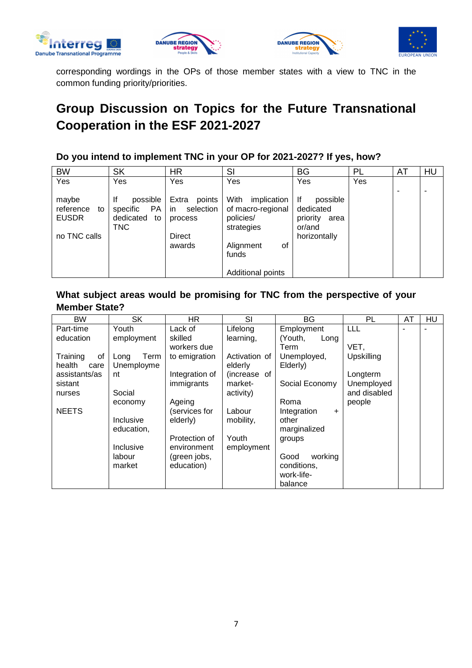







corresponding wordings in the OPs of those member states with a view to TNC in the common funding priority/priorities.

# **Group Discussion on Topics for the Future Transnational Cooperation in the ESF 2021-2027**

### **Do you intend to implement TNC in your OP for 2021-2027? If yes, how?**

| <b>BW</b>                                                | <b>SK</b>                                                      | <b>HR</b>                                                                | SI                                                                                                                   | <b>BG</b>                                                                 | PL  | AT | HU                       |
|----------------------------------------------------------|----------------------------------------------------------------|--------------------------------------------------------------------------|----------------------------------------------------------------------------------------------------------------------|---------------------------------------------------------------------------|-----|----|--------------------------|
| Yes                                                      | Yes                                                            | Yes                                                                      | Yes                                                                                                                  | Yes                                                                       | Yes |    |                          |
| maybe<br>reference<br>to<br><b>EUSDR</b><br>no TNC calls | lf<br>possible<br>PA<br>specific<br>dedicated to<br><b>TNC</b> | Extra<br>points<br>in<br>selection<br>process<br><b>Direct</b><br>awards | With<br>implication<br>of macro-regional<br>policies/<br>strategies<br>οf<br>Alignment<br>funds<br>Additional points | lf<br>possible<br>dedicated<br>priority<br>area<br>or/and<br>horizontally |     | -  | $\overline{\phantom{0}}$ |

### **What subject areas would be promising for TNC from the perspective of your Member State?**

| <b>BW</b>      | <b>SK</b>    | <b>HR</b>      | SI            | BG                       | PL           | AT | <b>HU</b> |
|----------------|--------------|----------------|---------------|--------------------------|--------------|----|-----------|
| Part-time      | Youth        | Lack of        | Lifelong      | Employment               | LLL          |    |           |
| education      | employment   | skilled        | learning,     | (Youth,<br>Long          |              |    |           |
|                |              | workers due    |               | Term                     | VET,         |    |           |
| Training<br>οf | Term<br>Long | to emigration  | Activation of | Unemployed,              | Upskilling   |    |           |
| health<br>care | Unemployme   |                | elderly       | Elderly)                 |              |    |           |
| assistants/as  | nt           | Integration of | (increase of  |                          | Longterm     |    |           |
| sistant        |              | immigrants     | market-       | Social Economy           | Unemployed   |    |           |
| nurses         | Social       |                | activity)     |                          | and disabled |    |           |
|                | economy      | Ageing         |               | Roma                     | people       |    |           |
| <b>NEETS</b>   |              | (services for  | Labour        | Integration<br>$\ddot{}$ |              |    |           |
|                | Inclusive    | elderly)       | mobility,     | other                    |              |    |           |
|                | education,   |                |               | marginalized             |              |    |           |
|                |              | Protection of  | Youth         | groups                   |              |    |           |
|                | Inclusive    | environment    | employment    |                          |              |    |           |
|                | labour       | (green jobs,   |               | working<br>Good          |              |    |           |
|                | market       | education)     |               | conditions,              |              |    |           |
|                |              |                |               | work-life-               |              |    |           |
|                |              |                |               | balance                  |              |    |           |